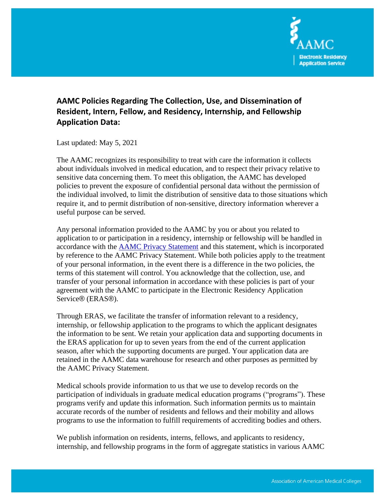

## **AAMC Policies Regarding The Collection, Use, and Dissemination of Resident, Intern, Fellow, and Residency, Internship, and Fellowship Application Data:**

Last updated: May 5, 2021

The AAMC recognizes its responsibility to treat with care the information it collects about individuals involved in medical education, and to respect their privacy relative to sensitive data concerning them. To meet this obligation, the AAMC has developed policies to prevent the exposure of confidential personal data without the permission of the individual involved, to limit the distribution of sensitive data to those situations which require it, and to permit distribution of non-sensitive, directory information wherever a useful purpose can be served.

Any personal information provided to the AAMC by you or about you related to application to or participation in a residency, internship or fellowship will be handled in accordance with the [AAMC Privacy Statement](https://www.aamc.org/44866/privacy.html) and this statement, which is incorporated by reference to the AAMC Privacy Statement. While both policies apply to the treatment of your personal information, in the event there is a difference in the two policies, the terms of this statement will control. You acknowledge that the collection, use, and transfer of your personal information in accordance with these policies is part of your agreement with the AAMC to participate in the Electronic Residency Application Service® (ERAS®).

Through ERAS, we facilitate the transfer of information relevant to a residency, internship, or fellowship application to the programs to which the applicant designates the information to be sent. We retain your application data and supporting documents in the ERAS application for up to seven years from the end of the current application season, after which the supporting documents are purged. Your application data are retained in the AAMC data warehouse for research and other purposes as permitted by the AAMC Privacy Statement.

Medical schools provide information to us that we use to develop records on the participation of individuals in graduate medical education programs ("programs"). These programs verify and update this information. Such information permits us to maintain accurate records of the number of residents and fellows and their mobility and allows programs to use the information to fulfill requirements of accrediting bodies and others.

We publish information on residents, interns, fellows, and applicants to residency, internship, and fellowship programs in the form of aggregate statistics in various AAMC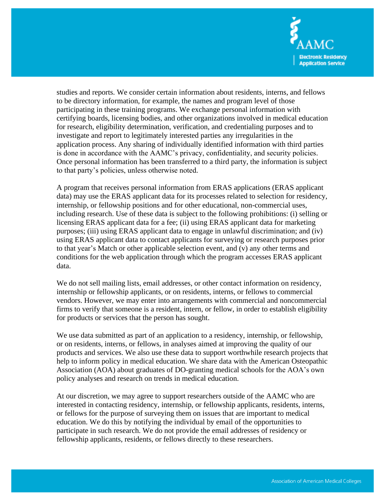

studies and reports. We consider certain information about residents, interns, and fellows to be directory information, for example, the names and program level of those participating in these training programs. We exchange personal information with certifying boards, licensing bodies, and other organizations involved in medical education for research, eligibility determination, verification, and credentialing purposes and to investigate and report to legitimately interested parties any irregularities in the application process. Any sharing of individually identified information with third parties is done in accordance with the AAMC's privacy, confidentiality, and security policies. Once personal information has been transferred to a third party, the information is subject to that party's policies, unless otherwise noted.

A program that receives personal information from ERAS applications (ERAS applicant data) may use the ERAS applicant data for its processes related to selection for residency, internship, or fellowship positions and for other educational, non-commercial uses, including research. Use of these data is subject to the following prohibitions: (i) selling or licensing ERAS applicant data for a fee; (ii) using ERAS applicant data for marketing purposes; (iii) using ERAS applicant data to engage in unlawful discrimination; and (iv) using ERAS applicant data to contact applicants for surveying or research purposes prior to that year's Match or other applicable selection event, and (v) any other terms and conditions for the web application through which the program accesses ERAS applicant data.

We do not sell mailing lists, email addresses, or other contact information on residency, internship or fellowship applicants, or on residents, interns, or fellows to commercial vendors. However, we may enter into arrangements with commercial and noncommercial firms to verify that someone is a resident, intern, or fellow, in order to establish eligibility for products or services that the person has sought.

We use data submitted as part of an application to a residency, internship, or fellowship, or on residents, interns, or fellows, in analyses aimed at improving the quality of our products and services. We also use these data to support worthwhile research projects that help to inform policy in medical education. We share data with the American Osteopathic Association (AOA) about graduates of DO-granting medical schools for the AOA's own policy analyses and research on trends in medical education.

At our discretion, we may agree to support researchers outside of the AAMC who are interested in contacting residency, internship, or fellowship applicants, residents, interns, or fellows for the purpose of surveying them on issues that are important to medical education. We do this by notifying the individual by email of the opportunities to participate in such research. We do not provide the email addresses of residency or fellowship applicants, residents, or fellows directly to these researchers.